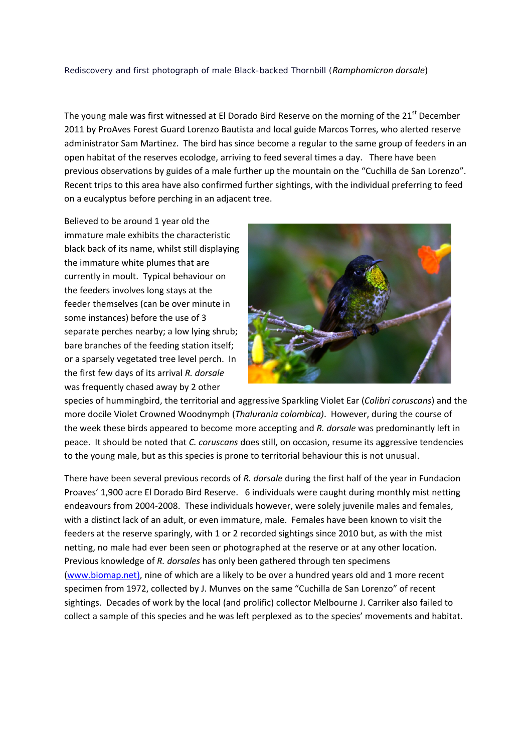## Rediscovery and first photograph of male Black-backed Thornbill (*Ramphomicron dorsale*)

The young male was first witnessed at El Dorado Bird Reserve on the morning of the  $21<sup>st</sup>$  December 2011 by ProAves Forest Guard Lorenzo Bautista and local guide Marcos Torres, who alerted reserve administrator Sam Martinez. The bird has since become a regular to the same group of feeders in an open habitat of the reserves ecolodge, arriving to feed several times a day. There have been previous observations by guides of a male further up the mountain on the "Cuchilla de San Lorenzo". Recent trips to this area have also confirmed further sightings, with the individual preferring to feed on a eucalyptus before perching in an adjacent tree.

Believed to be around 1 year old the immature male exhibits the characteristic black back of its name, whilst still displaying the immature white plumes that are currently in moult. Typical behaviour on the feeders involves long stays at the feeder themselves (can be over minute in some instances) before the use of 3 separate perches nearby; a low lying shrub; bare branches of the feeding station itself; or a sparsely vegetated tree level perch. In the first few days of its arrival *R. dorsale* was frequently chased away by 2 other



species of hummingbird, the territorial and aggressive Sparkling Violet Ear (*Colibri coruscans*) and the more docile Violet Crowned Woodnymph (*Thalurania colombica)*. However, during the course of the week these birds appeared to become more accepting and *R. dorsale* was predominantly left in peace. It should be noted that *C. coruscans* does still, on occasion, resume its aggressive tendencies to the young male, but as this species is prone to territorial behaviour this is not unusual.

There have been several previous records of *R. dorsale* during the first half of the year in Fundacion Proaves' 1,900 acre El Dorado Bird Reserve. 6 individuals were caught during monthly mist netting endeavours from 2004‐2008. These individuals however, were solely juvenile males and females, with a distinct lack of an adult, or even immature, male. Females have been known to visit the feeders at the reserve sparingly, with 1 or 2 recorded sightings since 2010 but, as with the mist netting, no male had ever been seen or photographed at the reserve or at any other location. Previous knowledge of *R. dorsales* has only been gathered through ten specimens (www.biomap.net), nine of which are a likely to be over a hundred years old and 1 more recent specimen from 1972, collected by J. Munves on the same "Cuchilla de San Lorenzo" of recent sightings. Decades of work by the local (and prolific) collector Melbourne J. Carriker also failed to collect a sample of this species and he was left perplexed as to the species' movements and habitat.